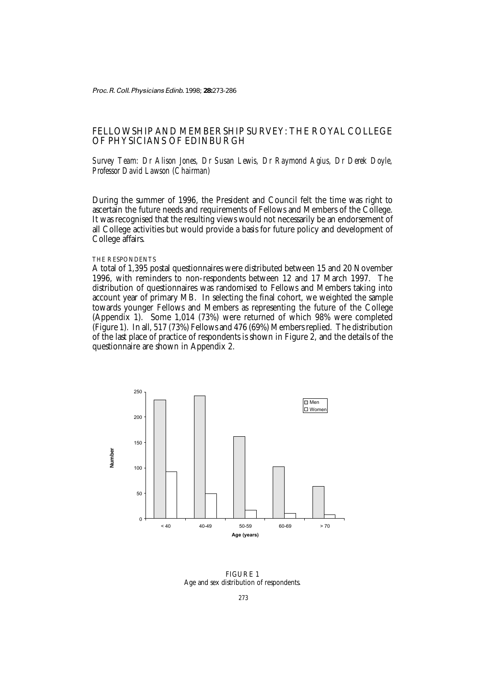Proc. R. Coll. Physicians Edinb. 1998; **28:**273-286

# FELLOWSHIP AND MEMBERSHIP SURVEY: THE ROYAL COLLEGE OF PHYSICIANS OF EDINBURGH

*Survey Team: Dr Alison Jones, Dr Susan Lewis, Dr Raymond Agius, Dr Derek Doyle, Professor David Lawson (Chairman)*

During the summer of 1996, the President and Council felt the time was right to ascertain the future needs and requirements of Fellows and Members of the College. It was recognised that the resulting views would not necessarily be an endorsement of all College activities but would provide a basis for future policy and development of College affairs.

#### THE RESPONDENTS

A total of 1,395 postal questionnaires were distributed between 15 and 20 November 1996, with reminders to non-respondents between 12 and 17 March 1997. The distribution of questionnaires was randomised to Fellows and Members taking into account year of primary MB. In selecting the final cohort, we weighted the sample towards younger Fellows and Members as representing the future of the College (Appendix 1). Some 1,014 (73%) were returned of which 98% were completed (Figure 1). In all, 517 (73%) Fellows and 476 (69%) Members replied. The distribution of the last place of practice of respondents is shown in Figure  $\overline{2}$ , and the details of the questionnaire are shown in Appendix 2.



FIGURE 1 Age and sex distribution of respondents.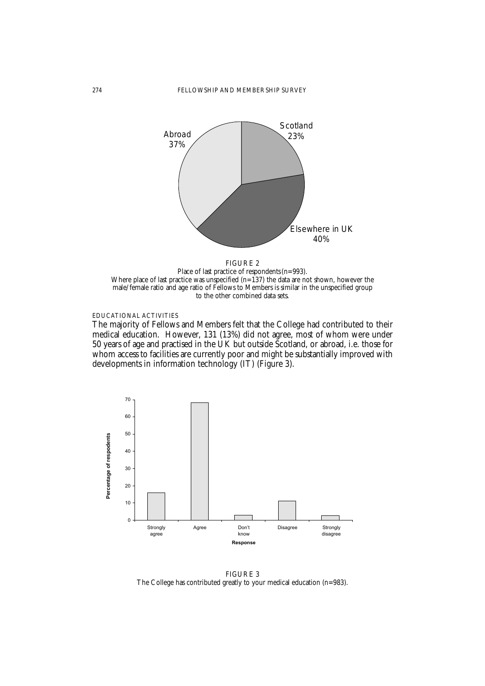

Where place of last practice was unspecified  $(n=137)$  the data are not shown, however the male/female ratio and age ratio of Fellows to Members is similar in the unspecified group to the other combined data sets.

EDUCATIONAL ACTIVITIES

The majority of Fellows and Members felt that the College had contributed to their medical education. However, 131 (13%) did not agree, most of whom were under 50 years of age and practised in the UK but outside Scotland, or abroad, i.e. those for whom access to facilities are currently poor and might be substantially improved with developments in information technology (IT) (Figure 3).



FIGURE 3 The College has contributed greatly to your medical education (n=983).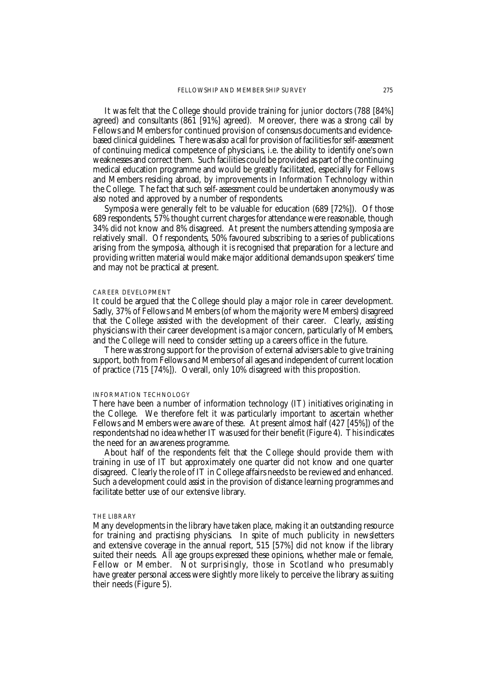It was felt that the College should provide training for junior doctors (788 [84%] agreed) and consultants (861 [91%] agreed). Moreover, there was a strong call by Fellows and Members for continued provision of consensus documents and evidencebased clinical guidelines. There was also a call for provision of facilities for self-assessment of continuing medical competence of physicians, i.e. the ability to identify one's own weaknesses and correct them. Such facilities could be provided as part of the continuing medical education programme and would be greatly facilitated, especially for Fellows and Members residing abroad, by improvements in Information Technology within the College. The fact that such self-assessment could be undertaken anonymously was also noted and approved by a number of respondents.

Symposia were generally felt to be valuable for education (689 [72%]). Of those 689 respondents, 57% thought current charges for attendance were reasonable, though 34% did not know and 8% disagreed. At present the numbers attending symposia are relatively small. Of respondents, 50% favoured subscribing to a series of publications arising from the symposia, although it is recognised that preparation for a lecture and providing written material would make major additional demands upon speakers' time and may not be practical at present.

#### CAREER DEVELOPMENT

It could be argued that the College should play a major role in career development. Sadly, 37% of Fellows and Members (of whom the majority were Members) disagreed that the College assisted with the development of their career. Clearly, assisting physicians with their career development is a major concern, particularly of Members, and the College will need to consider setting up a careers office in the future.

There was strong support for the provision of external advisers able to give training support, both from Fellows and Members of all ages and independent of current location of practice (715 [74%]). Overall, only 10% disagreed with this proposition.

#### INFORMATION TECHNOLOGY

There have been a number of information technology (IT) initiatives originating in the College. We therefore felt it was particularly important to ascertain whether Fellows and Members were aware of these. At present almost half (427 [45%]) of the respondents had no idea whether IT was used for their benefit (Figure 4). This indicates the need for an awareness programme.

About half of the respondents felt that the College should provide them with training in use of IT but approximately one quarter did not know and one quarter disagreed. Clearly the role of IT in College affairs needs to be reviewed and enhanced. Such a development could assist in the provision of distance learning programmes and facilitate better use of our extensive library.

#### THE LIBRARY

Many developments in the library have taken place, making it an outstanding resource for training and practising physicians. In spite of much publicity in newsletters and extensive coverage in the annual report, 515 [57%] did not know if the library suited their needs. All age groups expressed these opinions, whether male or female, Fellow or Member. Not surprisingly, those in Scotland who presumably have greater personal access were slightly more likely to perceive the library as suiting their needs (Figure 5).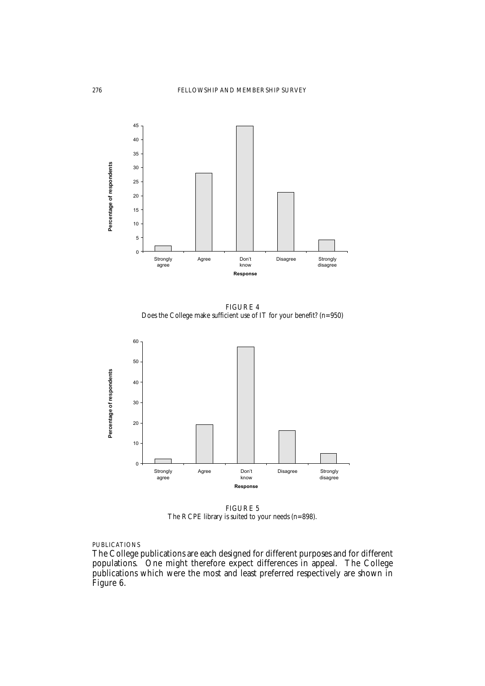

FIGURE 4 Does the College make sufficient use of IT for your benefit? (n=950)



FIGURE 5 The RCPE library is suited to your needs (n=898).

## PUBLICATIONS

The College publications are each designed for different purposes and for different populations. One might therefore expect differences in appeal. The College publications which were the most and least preferred respectively are shown in Figure 6.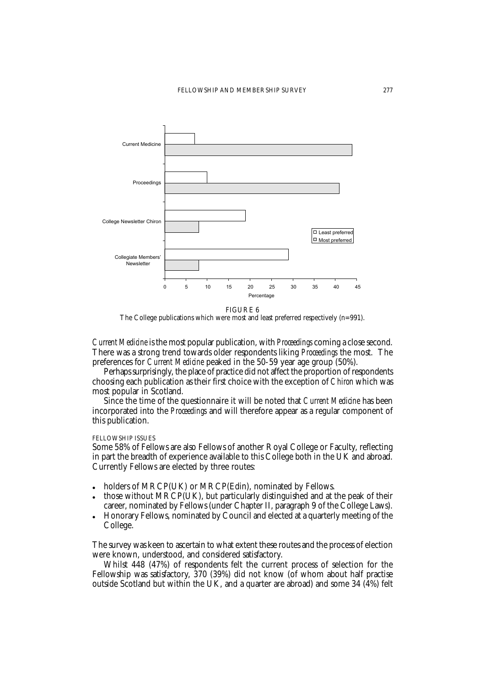

FIGURE 6

The College publications which were most and least preferred respectively (n=991).

*Current Medicine* is the most popular publication, with *Proceedings* coming a close second. There was a strong trend towards older respondents liking *Proceedings* the most. The preferences for *Current Medicine* peaked in the 50-59 year age group (50%).

Perhaps surprisingly, the place of practice did not affect the proportion of respondents choosing each publication as their first choice with the exception of *Chiron* which was most popular in Scotland.

Since the time of the questionnaire it will be noted that *Current Medicine* has been incorporated into the *Proceedings* and will therefore appear as a regular component of this publication.

#### FELLOWSHIP ISSUES

Some 58% of Fellows are also Fellows of another Royal College or Faculty, reflecting in part the breadth of experience available to this College both in the UK and abroad. Currently Fellows are elected by three routes:

- holders of MRCP(UK) or MRCP(Edin), nominated by Fellows.
- those without MRCP(UK), but particularly distinguished and at the peak of their career, nominated by Fellows (under Chapter II, paragraph 9 of the College Laws).
- Honorary Fellows, nominated by Council and elected at a quarterly meeting of the College.

The survey was keen to ascertain to what extent these routes and the process of election were known, understood, and considered satisfactory.

Whilst 448 (47%) of respondents felt the current process of selection for the Fellowship was satisfactory, 370 (39%) did not know (of whom about half practise outside Scotland but within the UK, and a quarter are abroad) and some 34 (4%) felt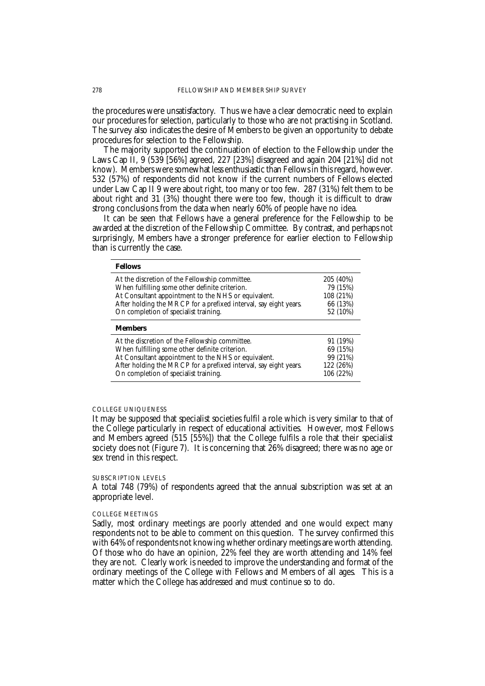the procedures were unsatisfactory. Thus we have a clear democratic need to explain our procedures for selection, particularly to those who are not practising in Scotland. The survey also indicates the desire of Members to be given an opportunity to debate procedures for selection to the Fellowship.

The majority supported the continuation of election to the Fellowship under the Laws Cap II, 9 (539 [56%] agreed, 227 [23%] disagreed and again 204 [21%] did not know). Members were somewhat less enthusiastic than Fellows in this regard, however. 532 (57%) of respondents did not know if the current numbers of Fellows elected under Law Cap II 9 were about right, too many or too few. 287 (31%) felt them to be about right and 31 (3%) thought there were too few, though it is difficult to draw strong conclusions from the data when nearly 60% of people have no idea.

It can be seen that Fellows have a general preference for the Fellowship to be awarded at the discretion of the Fellowship Committee. By contrast, and perhaps not surprisingly, Members have a stronger preference for earlier election to Fellowship than is currently the case.

| <b>Fellows</b>                                                   |           |
|------------------------------------------------------------------|-----------|
| At the discretion of the Fellowship committee.                   | 205 (40%) |
| When fulfilling some other definite criterion.                   | 79 (15%)  |
| At Consultant appointment to the NHS or equivalent.              | 108 (21%) |
| After holding the MRCP for a prefixed interval, say eight years. | 66 (13%)  |
| On completion of specialist training.                            | 52 (10%)  |
|                                                                  |           |
| <b>Members</b>                                                   |           |
| At the discretion of the Fellowship committee.                   | 91 (19%)  |
| When fulfilling some other definite criterion.                   | 69 (15%)  |
| At Consultant appointment to the NHS or equivalent.              | 99 (21%)  |
| After holding the MRCP for a prefixed interval, say eight years. | 122 (26%) |

#### COLLEGE UNIQUENESS

It may be supposed that specialist societies fulfil a role which is very similar to that of the College particularly in respect of educational activities. However, most Fellows and Members agreed (515 [55%]) that the College fulfils a role that their specialist society does not (Figure 7). It is concerning that 26% disagreed; there was no age or sex trend in this respect.

#### SUBSCRIPTION LEVELS

A total 748 (79%) of respondents agreed that the annual subscription was set at an appropriate level.

#### COLLEGE MEETINGS

Sadly, most ordinary meetings are poorly attended and one would expect many respondents not to be able to comment on this question. The survey confirmed this with 64% of respondents not knowing whether ordinary meetings are worth attending. Of those who do have an opinion, 22% feel they are worth attending and 14% feel they are not. Clearly work is needed to improve the understanding and format of the ordinary meetings of the College with Fellows and Members of all ages. This is a matter which the College has addressed and must continue so to do.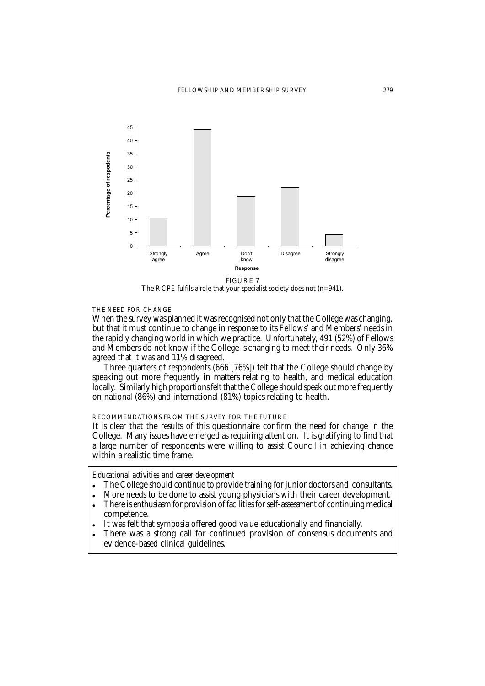

FIGURE 7

The RCPE fulfils a role that your specialist society does not (n=941).

## THE NEED FOR CHANGE

When the survey was planned it was recognised not only that the College was changing, but that it must continue to change in response to its Fellows' and Members' needs in the rapidly changing world in which we practice. Unfortunately, 491 (52%) of Fellows and Members do not know if the College is changing to meet their needs. Only 36% agreed that it was and 11% disagreed.

Three quarters of respondents (666 [76%]) felt that the College should change by speaking out more frequently in matters relating to health, and medical education locally. Similarly high proportions felt that the College should speak out more frequently on national (86%) and international (81%) topics relating to health.

# RECOMMENDATIONS FROM THE SURVEY FOR THE FUTURE

It is clear that the results of this questionnaire confirm the need for change in the College. Many issues have emerged as requiring attention. It is gratifying to find that a large number of respondents were willing to assist Council in achieving change within a realistic time frame.

## *Educational activities and career development*

- The College should continue to provide training for junior doctors and consultants.
- More needs to be done to assist young physicians with their career development.
- There is enthusiasm for provision of facilities for self-assessment of continuing medical competence.
- It was felt that symposia offered good value educationally and financially.
- There was a strong call for continued provision of consensus documents and evidence-based clinical guidelines.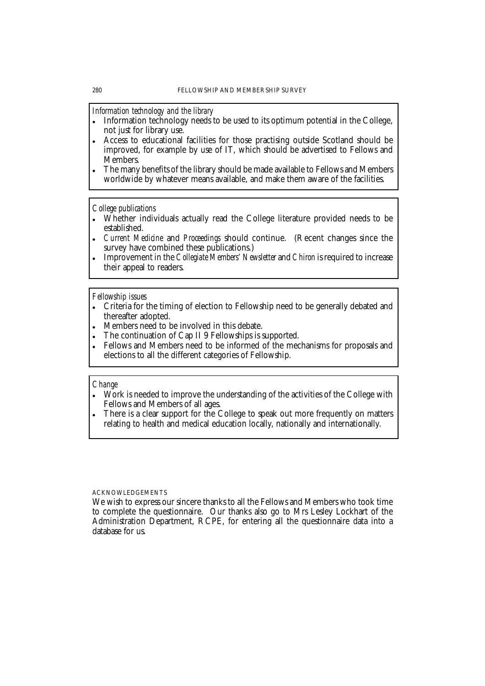*Information technology and the library*

- Information technology needs to be used to its optimum potential in the College, not just for library use.
- Access to educational facilities for those practising outside Scotland should be improved, for example by use of IT, which should be advertised to Fellows and Members.
- The many benefits of the library should be made available to Fellows and Members worldwide by whatever means available, and make them aware of the facilities.

*College publications*

- Whether individuals actually read the College literature provided needs to be established.
- *Current Medicine* and *Proceedings* should continue. (Recent changes since the survey have combined these publications.)
- Improvement in the *Collegiate Members' Newsletter* and *Chiron* is required to increase their appeal to readers.

#### *Fellowship issues*

- Criteria for the timing of election to Fellowship need to be generally debated and thereafter adopted.
- Members need to be involved in this debate.
- The continuation of Cap II 9 Fellowships is supported.
- Fellows and Members need to be informed of the mechanisms for proposals and elections to all the different categories of Fellowship.

## *Change*

- Work is needed to improve the understanding of the activities of the College with Fellows and Members of all ages.
- There is a clear support for the College to speak out more frequently on matters relating to health and medical education locally, nationally and internationally.

#### ACKNOWLEDGEMENTS

We wish to express our sincere thanks to all the Fellows and Members who took time to complete the questionnaire. Our thanks also go to Mrs Lesley Lockhart of the Administration Department, RCPE, for entering all the questionnaire data into a database for us.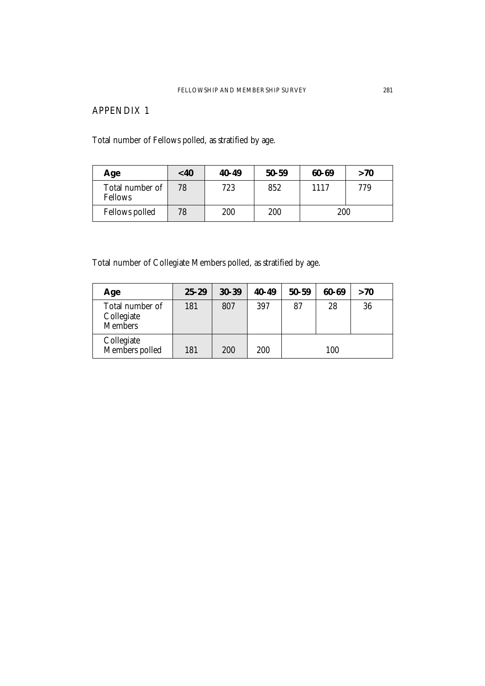# APPENDIX 1

Total number of Fellows polled, as stratified by age.

| Age                               | $<$ 40 | $40 - 49$ | $50 - 59$ | 60-69 | >70 |
|-----------------------------------|--------|-----------|-----------|-------|-----|
| Total number of<br><b>Fellows</b> | 78     | 723       | 852       | 1117  | 779 |
| <b>Fellows polled</b>             | 78     | 200       | 200       | 200   |     |

Total number of Collegiate Members polled, as stratified by age.

| Age                                             | $25 - 29$ | $30 - 39$ | $40 - 49$ | $50 - 59$ | 60-69 | >70 |
|-------------------------------------------------|-----------|-----------|-----------|-----------|-------|-----|
| Total number of<br>Collegiate<br><b>Members</b> | 181       | 807       | 397       | 87        | 28    | 36  |
| Collegiate<br>Members polled                    | 181       | 200       | 200       |           | 100   |     |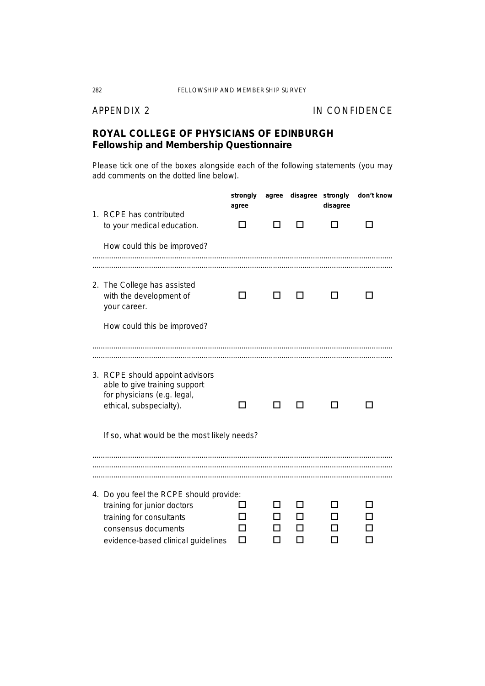# APPENDIX 2 IN CONFIDENCE

# *ROYAL COLLEGE OF PHYSICIANS OF EDINBURGH Fellowship and Membership Questionnaire*

*Please tick one of the boxes alongside each of the following statements (you may add comments on the dotted line below).*

| 1. RCPE has contributed                                                                                                                                         | strongly<br>agree | agree | disagree | strongly<br>disagree | don't know |
|-----------------------------------------------------------------------------------------------------------------------------------------------------------------|-------------------|-------|----------|----------------------|------------|
| to your medical education.                                                                                                                                      |                   |       |          |                      |            |
| How could this be improved?                                                                                                                                     |                   |       |          |                      |            |
| 2. The College has assisted<br>with the development of<br>your career.                                                                                          |                   |       |          |                      |            |
| How could this be improved?                                                                                                                                     |                   |       |          |                      |            |
| 3. RCPE should appoint advisors                                                                                                                                 |                   |       |          |                      |            |
| able to give training support<br>for physicians (e.g. legal,<br>ethical, subspecialty).                                                                         |                   |       |          |                      |            |
| If so, what would be the most likely needs?                                                                                                                     |                   |       |          |                      |            |
|                                                                                                                                                                 |                   |       |          |                      |            |
| 4. Do you feel the RCPE should provide:<br>training for junior doctors<br>training for consultants<br>consensus documents<br>evidence-based clinical guidelines |                   |       |          |                      |            |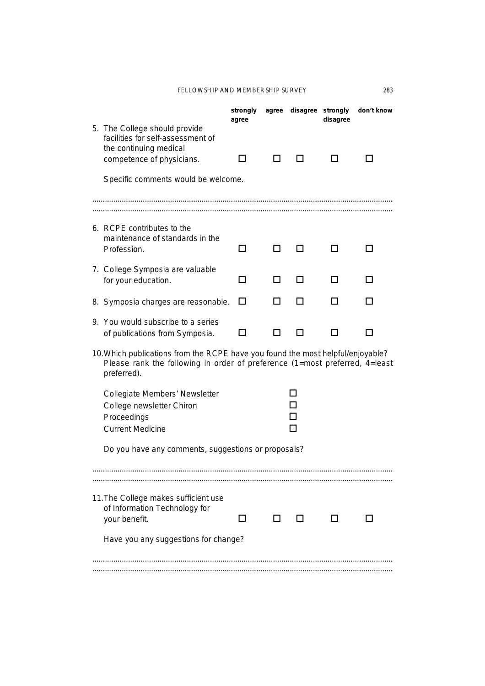# FELLOWSHIP AND MEMBERSHIP SURVEY 283

|                                      |                                                                                                                                                                               | strongly<br>agree | agree | disagree | strongly<br>disagree | don't know |
|--------------------------------------|-------------------------------------------------------------------------------------------------------------------------------------------------------------------------------|-------------------|-------|----------|----------------------|------------|
|                                      | 5. The College should provide<br>facilities for self-assessment of                                                                                                            |                   |       |          |                      |            |
|                                      | the continuing medical<br>competence of physicians.                                                                                                                           | - 1               |       |          |                      |            |
|                                      | Specific comments would be welcome.                                                                                                                                           |                   |       |          |                      |            |
|                                      |                                                                                                                                                                               |                   |       |          |                      |            |
|                                      |                                                                                                                                                                               |                   |       |          |                      |            |
|                                      | 6. RCPE contributes to the<br>maintenance of standards in the                                                                                                                 |                   |       |          |                      |            |
|                                      | Profession.                                                                                                                                                                   | $\blacksquare$    |       |          |                      |            |
|                                      | 7. College Symposia are valuable<br>for your education.                                                                                                                       | $\blacksquare$    |       | LΙ       |                      |            |
|                                      |                                                                                                                                                                               |                   |       |          |                      |            |
|                                      | 8. Symposia charges are reasonable.                                                                                                                                           | ΙI                |       |          |                      |            |
| 9.                                   | You would subscribe to a series<br>of publications from Symposia.                                                                                                             |                   |       |          |                      |            |
|                                      | 10. Which publications from the RCPE have you found the most helpful/enjoyable?<br>Please rank the following in order of preference (1=most preferred, 4=least<br>preferred). |                   |       |          |                      |            |
|                                      | Collegiate Members' Newsletter                                                                                                                                                |                   |       |          |                      |            |
|                                      | College newsletter Chiron                                                                                                                                                     |                   |       |          |                      |            |
|                                      | Proceedings                                                                                                                                                                   |                   |       |          |                      |            |
|                                      | <b>Current Medicine</b>                                                                                                                                                       |                   |       |          |                      |            |
|                                      | Do you have any comments, suggestions or proposals?                                                                                                                           |                   |       |          |                      |            |
|                                      |                                                                                                                                                                               |                   |       |          |                      |            |
|                                      |                                                                                                                                                                               |                   |       |          |                      |            |
|                                      | 11. The College makes sufficient use<br>of Information Technology for                                                                                                         |                   |       |          |                      |            |
|                                      | your benefit.                                                                                                                                                                 |                   |       |          |                      |            |
| Have you any suggestions for change? |                                                                                                                                                                               |                   |       |          |                      |            |
|                                      |                                                                                                                                                                               |                   |       |          |                      |            |
|                                      |                                                                                                                                                                               |                   |       |          |                      |            |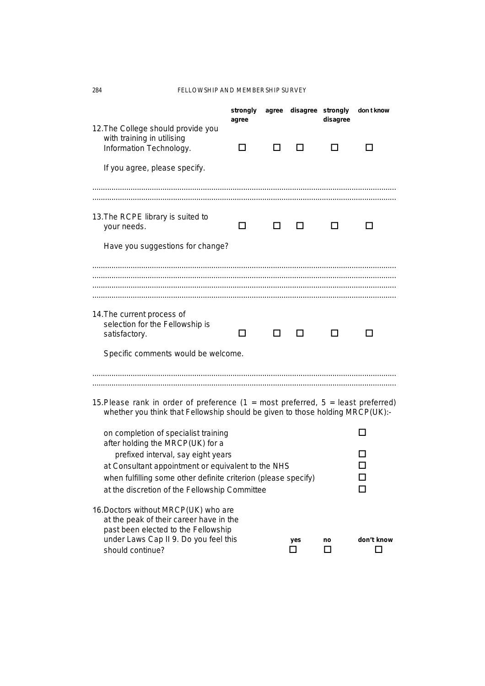284 FELLOWSHIP AND MEMBERSHIP SURVEY

|                                                                                                                                                                     | strongly<br>agree | agree | disagree strongly | disagree | don t know      |  |
|---------------------------------------------------------------------------------------------------------------------------------------------------------------------|-------------------|-------|-------------------|----------|-----------------|--|
| 12. The College should provide you<br>with training in utilising<br>Information Technology.                                                                         | ΙI                |       |                   |          |                 |  |
| If you agree, please specify.                                                                                                                                       |                   |       |                   |          |                 |  |
|                                                                                                                                                                     |                   |       |                   |          |                 |  |
| 13. The RCPE library is suited to<br>your needs.                                                                                                                    | ΙI                |       |                   |          |                 |  |
| Have you suggestions for change?                                                                                                                                    |                   |       |                   |          |                 |  |
|                                                                                                                                                                     |                   |       |                   |          |                 |  |
|                                                                                                                                                                     |                   |       |                   |          |                 |  |
| 14. The current process of                                                                                                                                          |                   |       |                   |          |                 |  |
| selection for the Fellowship is<br>satisfactory.                                                                                                                    | ΙI                | ΙI    | ΙI                |          |                 |  |
| Specific comments would be welcome.                                                                                                                                 |                   |       |                   |          |                 |  |
|                                                                                                                                                                     |                   |       |                   |          |                 |  |
|                                                                                                                                                                     |                   |       |                   |          |                 |  |
| 15. Please rank in order of preference $(1 = most preferred, 5 = least preferred)$<br>whether you think that Fellowship should be given to those holding MRCP(UK):- |                   |       |                   |          |                 |  |
| on completion of specialist training                                                                                                                                |                   |       |                   |          |                 |  |
| after holding the MRCP(UK) for a<br>prefixed interval, say eight years                                                                                              |                   |       |                   |          |                 |  |
| at Consultant appointment or equivalent to the NHS                                                                                                                  |                   |       |                   |          |                 |  |
| when fulfilling some other definite criterion (please specify)<br>at the discretion of the Fellowship Committee                                                     |                   |       |                   |          |                 |  |
| 16. Doctors without MRCP(UK) who are<br>at the peak of their career have in the<br>past been elected to the Fellowship                                              |                   |       |                   |          |                 |  |
| under Laws Cap II 9. Do you feel this<br>should continue?                                                                                                           |                   |       | yes<br>П          | no<br>□  | don't know<br>П |  |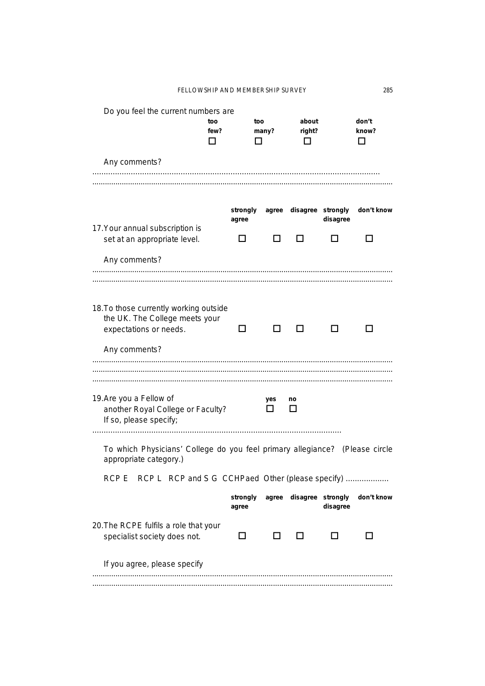| Do you feel the current numbers are                                         | too  | too      |       | about             |          | don't      |
|-----------------------------------------------------------------------------|------|----------|-------|-------------------|----------|------------|
|                                                                             | few? |          | many? | right?            |          | know?      |
|                                                                             |      |          |       |                   |          |            |
|                                                                             |      |          |       |                   |          |            |
| Any comments?                                                               |      |          |       |                   |          |            |
|                                                                             |      |          |       |                   |          |            |
|                                                                             |      |          |       |                   |          |            |
|                                                                             |      |          |       |                   |          |            |
|                                                                             |      | strongly | agree | disagree strongly |          | don't know |
|                                                                             |      | agree    |       |                   | disagree |            |
| 17. Your annual subscription is                                             |      |          |       |                   |          |            |
| set at an appropriate level.                                                |      |          |       |                   |          |            |
|                                                                             |      |          |       |                   |          |            |
| Any comments?                                                               |      |          |       |                   |          |            |
|                                                                             |      |          |       |                   |          |            |
|                                                                             |      |          |       |                   |          |            |
|                                                                             |      |          |       |                   |          |            |
| 18. To those currently working outside                                      |      |          |       |                   |          |            |
| the UK. The College meets your                                              |      |          |       |                   |          |            |
| expectations or needs.                                                      |      |          |       |                   |          |            |
|                                                                             |      |          |       |                   |          |            |
| Any comments?                                                               |      |          |       |                   |          |            |
|                                                                             |      |          |       |                   |          |            |
|                                                                             |      |          |       |                   |          |            |
|                                                                             |      |          |       |                   |          |            |
| 19. Are you a Fellow of                                                     |      |          | yes   | no                |          |            |
| another Royal College or Faculty?                                           |      |          |       |                   |          |            |
| If so, please specify;                                                      |      |          |       |                   |          |            |
|                                                                             |      |          |       |                   |          |            |
| To which Physicians' College do you feel primary allegiance? (Please circle |      |          |       |                   |          |            |
| appropriate category.)                                                      |      |          |       |                   |          |            |
|                                                                             |      |          |       |                   |          |            |
| RCP L RCP and S G CCHPaed Other (please specify).<br><b>RCP E</b>           |      |          |       |                   |          |            |
|                                                                             |      | strongly | agree | disagree strongly |          | don't know |
|                                                                             |      | agree    |       |                   | disagree |            |
|                                                                             |      |          |       |                   |          |            |
| 20. The RCPE fulfils a role that your                                       |      |          |       |                   |          |            |
| specialist society does not.                                                |      | LI       | H     |                   |          |            |
|                                                                             |      |          |       |                   |          |            |
| If you agree, please specify                                                |      |          |       |                   |          |            |
|                                                                             |      |          |       |                   |          |            |
|                                                                             |      |          |       |                   |          |            |
|                                                                             |      |          |       |                   |          |            |